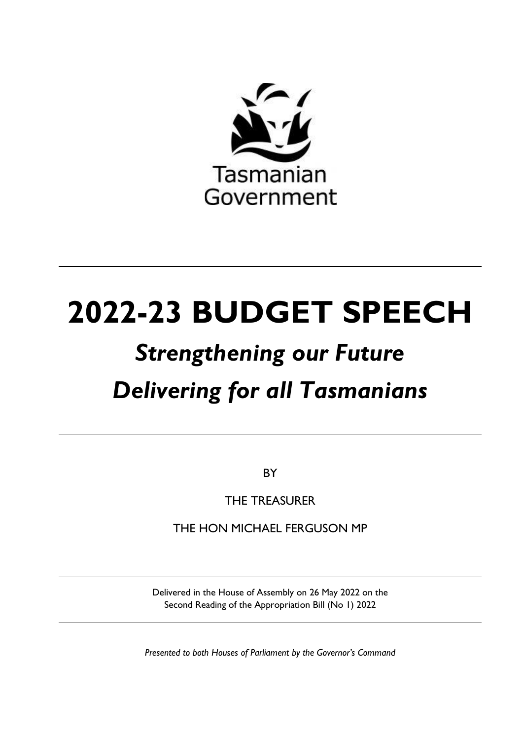

# **2022-23 BUDGET SPEECH**

# *Strengthening our Future Delivering for all Tasmanians*

**BY** 

THE TREASURER

THE HON MICHAEL FERGUSON MP

Delivered in the House of Assembly on 26 May 2022 on the Second Reading of the Appropriation Bill (No 1) 2022

*Presented to both Houses of Parliament by the Governor's Command*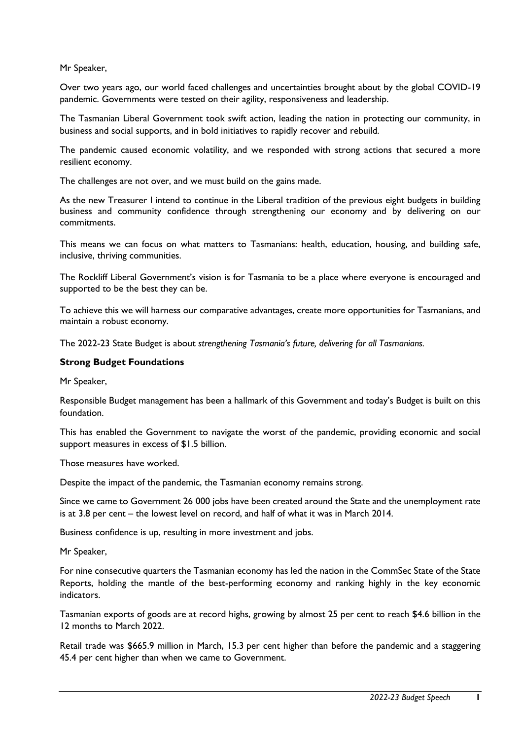Mr Speaker,

Over two years ago, our world faced challenges and uncertainties brought about by the global COVID-19 pandemic. Governments were tested on their agility, responsiveness and leadership.

The Tasmanian Liberal Government took swift action, leading the nation in protecting our community, in business and social supports, and in bold initiatives to rapidly recover and rebuild.

The pandemic caused economic volatility, and we responded with strong actions that secured a more resilient economy.

The challenges are not over, and we must build on the gains made.

As the new Treasurer I intend to continue in the Liberal tradition of the previous eight budgets in building business and community confidence through strengthening our economy and by delivering on our commitments.

This means we can focus on what matters to Tasmanians: health, education, housing, and building safe, inclusive, thriving communities.

The Rockliff Liberal Government's vision is for Tasmania to be a place where everyone is encouraged and supported to be the best they can be.

To achieve this we will harness our comparative advantages, create more opportunities for Tasmanians, and maintain a robust economy.

The 2022-23 State Budget is about *strengthening Tasmania's future, delivering for all Tasmanians.*

#### **Strong Budget Foundations**

Mr Speaker,

Responsible Budget management has been a hallmark of this Government and today's Budget is built on this foundation.

This has enabled the Government to navigate the worst of the pandemic, providing economic and social support measures in excess of \$1.5 billion.

Those measures have worked.

Despite the impact of the pandemic, the Tasmanian economy remains strong.

Since we came to Government 26 000 jobs have been created around the State and the unemployment rate is at 3.8 per cent – the lowest level on record, and half of what it was in March 2014.

Business confidence is up, resulting in more investment and jobs.

Mr Speaker,

For nine consecutive quarters the Tasmanian economy has led the nation in the CommSec State of the State Reports, holding the mantle of the best-performing economy and ranking highly in the key economic indicators.

Tasmanian exports of goods are at record highs, growing by almost 25 per cent to reach \$4.6 billion in the 12 months to March 2022.

Retail trade was \$665.9 million in March, 15.3 per cent higher than before the pandemic and a staggering 45.4 per cent higher than when we came to Government.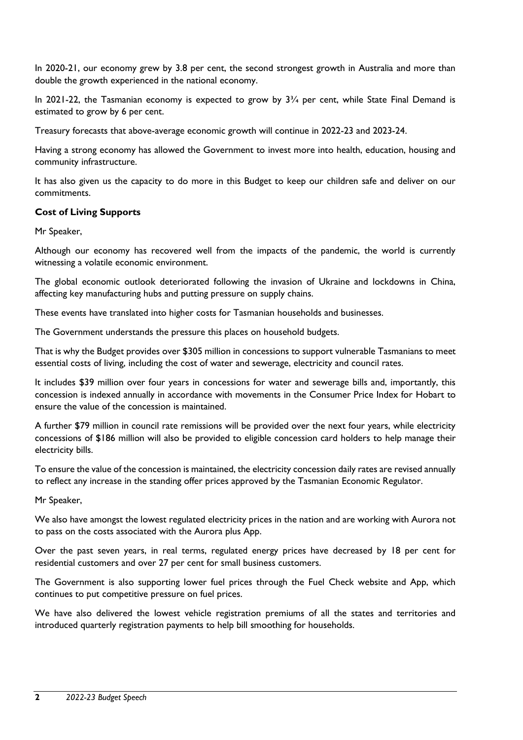In 2020-21, our economy grew by 3.8 per cent, the second strongest growth in Australia and more than double the growth experienced in the national economy.

In 2021-22, the Tasmanian economy is expected to grow by  $3\frac{3}{4}$  per cent, while State Final Demand is estimated to grow by 6 per cent.

Treasury forecasts that above-average economic growth will continue in 2022-23 and 2023-24.

Having a strong economy has allowed the Government to invest more into health, education, housing and community infrastructure.

It has also given us the capacity to do more in this Budget to keep our children safe and deliver on our commitments.

# **Cost of Living Supports**

Mr Speaker,

Although our economy has recovered well from the impacts of the pandemic, the world is currently witnessing a volatile economic environment.

The global economic outlook deteriorated following the invasion of Ukraine and lockdowns in China, affecting key manufacturing hubs and putting pressure on supply chains.

These events have translated into higher costs for Tasmanian households and businesses.

The Government understands the pressure this places on household budgets.

That is why the Budget provides over \$305 million in concessions to support vulnerable Tasmanians to meet essential costs of living, including the cost of water and sewerage, electricity and council rates.

It includes \$39 million over four years in concessions for water and sewerage bills and, importantly, this concession is indexed annually in accordance with movements in the Consumer Price Index for Hobart to ensure the value of the concession is maintained.

A further \$79 million in council rate remissions will be provided over the next four years, while electricity concessions of \$186 million will also be provided to eligible concession card holders to help manage their electricity bills.

To ensure the value of the concession is maintained, the electricity concession daily rates are revised annually to reflect any increase in the standing offer prices approved by the Tasmanian Economic Regulator.

Mr Speaker,

We also have amongst the lowest regulated electricity prices in the nation and are working with Aurora not to pass on the costs associated with the Aurora plus App.

Over the past seven years, in real terms, regulated energy prices have decreased by 18 per cent for residential customers and over 27 per cent for small business customers.

The Government is also supporting lower fuel prices through the Fuel Check website and App, which continues to put competitive pressure on fuel prices.

We have also delivered the lowest vehicle registration premiums of all the states and territories and introduced quarterly registration payments to help bill smoothing for households.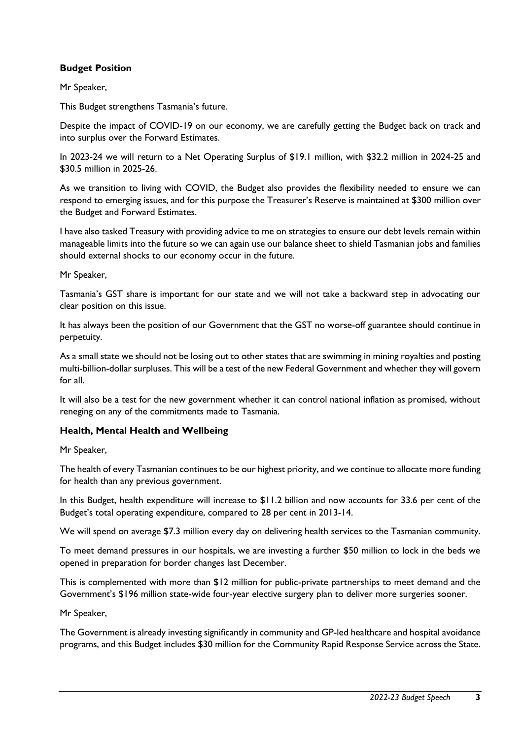# **Budget Position**

Mr Speaker,

This Budget strengthens Tasmania's future.

Despite the impact of COVID-19 on our economy, we are carefully getting the Budget back on track and into surplus over the Forward Estimates.

In 2023-24 we will return to a Net Operating Surplus of \$19.1 million, with \$32.2 million in 2024-25 and \$30.5 million in 2025-26.

As we transition to living with COVID, the Budget also provides the flexibility needed to ensure we can respond to emerging issues, and for this purpose the Treasurer's Reserve is maintained at \$300 million over the Budget and Forward Estimates.

I have also tasked Treasury with providing advice to me on strategies to ensure our debt levels remain within manageable limits into the future so we can again use our balance sheet to shield Tasmanian jobs and families should external shocks to our economy occur in the future.

Mr Speaker,

Tasmania's GST share is important for our state and we will not take a backward step in advocating our clear position on this issue.

It has always been the position of our Government that the GST no worse-off guarantee should continue in perpetuity.

As a small state we should not be losing out to other states that are swimming in mining royalties and posting multi-billion-dollar surpluses. This will be a test of the new Federal Government and whether they will govern for all.

It will also be a test for the new government whether it can control national inflation as promised, without reneging on any of the commitments made to Tasmania.

# **Health, Mental Health and Wellbeing**

Mr Speaker,

The health of every Tasmanian continues to be our highest priority, and we continue to allocate more funding for health than any previous government.

In this Budget, health expenditure will increase to \$11.2 billion and now accounts for 33.6 per cent of the Budget's total operating expenditure, compared to 28 per cent in 2013-14.

We will spend on average \$7.3 million every day on delivering health services to the Tasmanian community.

To meet demand pressures in our hospitals, we are investing a further \$50 million to lock in the beds we opened in preparation for border changes last December.

This is complemented with more than \$12 million for public-private partnerships to meet demand and the Government's \$196 million state-wide four-year elective surgery plan to deliver more surgeries sooner.

Mr Speaker,

The Government is already investing significantly in community and GP-led healthcare and hospital avoidance programs, and this Budget includes \$30 million for the Community Rapid Response Service across the State.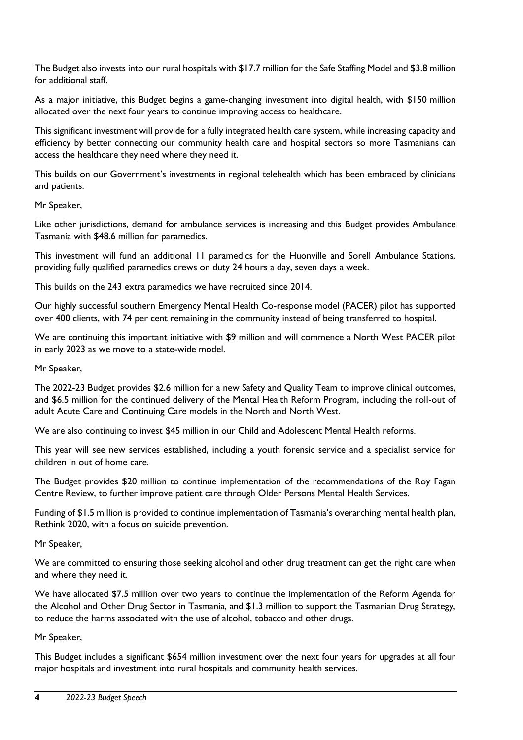The Budget also invests into our rural hospitals with \$17.7 million for the Safe Staffing Model and \$3.8 million for additional staff.

As a major initiative, this Budget begins a game-changing investment into digital health, with \$150 million allocated over the next four years to continue improving access to healthcare.

This significant investment will provide for a fully integrated health care system, while increasing capacity and efficiency by better connecting our community health care and hospital sectors so more Tasmanians can access the healthcare they need where they need it.

This builds on our Government's investments in regional telehealth which has been embraced by clinicians and patients.

# Mr Speaker,

Like other jurisdictions, demand for ambulance services is increasing and this Budget provides Ambulance Tasmania with \$48.6 million for paramedics.

This investment will fund an additional 11 paramedics for the Huonville and Sorell Ambulance Stations, providing fully qualified paramedics crews on duty 24 hours a day, seven days a week.

This builds on the 243 extra paramedics we have recruited since 2014.

Our highly successful southern Emergency Mental Health Co-response model (PACER) pilot has supported over 400 clients, with 74 per cent remaining in the community instead of being transferred to hospital.

We are continuing this important initiative with \$9 million and will commence a North West PACER pilot in early 2023 as we move to a state-wide model.

Mr Speaker,

The 2022-23 Budget provides \$2.6 million for a new Safety and Quality Team to improve clinical outcomes, and \$6.5 million for the continued delivery of the Mental Health Reform Program, including the roll-out of adult Acute Care and Continuing Care models in the North and North West.

We are also continuing to invest \$45 million in our Child and Adolescent Mental Health reforms.

This year will see new services established, including a youth forensic service and a specialist service for children in out of home care.

The Budget provides \$20 million to continue implementation of the recommendations of the Roy Fagan Centre Review, to further improve patient care through Older Persons Mental Health Services.

Funding of \$1.5 million is provided to continue implementation of Tasmania's overarching mental health plan, Rethink 2020, with a focus on suicide prevention.

Mr Speaker,

We are committed to ensuring those seeking alcohol and other drug treatment can get the right care when and where they need it.

We have allocated \$7.5 million over two years to continue the implementation of the Reform Agenda for the Alcohol and Other Drug Sector in Tasmania, and \$1.3 million to support the Tasmanian Drug Strategy, to reduce the harms associated with the use of alcohol, tobacco and other drugs.

Mr Speaker,

This Budget includes a significant \$654 million investment over the next four years for upgrades at all four major hospitals and investment into rural hospitals and community health services.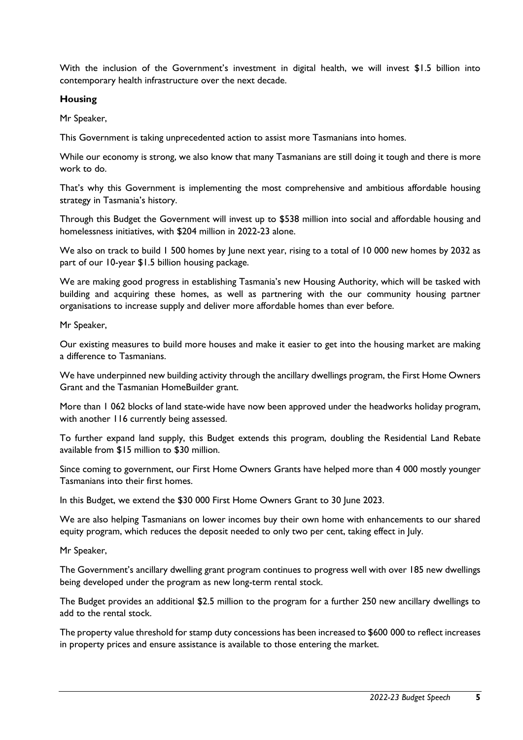With the inclusion of the Government's investment in digital health, we will invest \$1.5 billion into contemporary health infrastructure over the next decade.

#### **Housing**

Mr Speaker,

This Government is taking unprecedented action to assist more Tasmanians into homes.

While our economy is strong, we also know that many Tasmanians are still doing it tough and there is more work to do.

That's why this Government is implementing the most comprehensive and ambitious affordable housing strategy in Tasmania's history.

Through this Budget the Government will invest up to \$538 million into social and affordable housing and homelessness initiatives, with \$204 million in 2022-23 alone.

We also on track to build 1 500 homes by June next year, rising to a total of 10 000 new homes by 2032 as part of our 10-year \$1.5 billion housing package.

We are making good progress in establishing Tasmania's new Housing Authority, which will be tasked with building and acquiring these homes, as well as partnering with the our community housing partner organisations to increase supply and deliver more affordable homes than ever before.

Mr Speaker,

Our existing measures to build more houses and make it easier to get into the housing market are making a difference to Tasmanians.

We have underpinned new building activity through the ancillary dwellings program, the First Home Owners Grant and the Tasmanian HomeBuilder grant.

More than 1 062 blocks of land state-wide have now been approved under the headworks holiday program, with another 116 currently being assessed.

To further expand land supply, this Budget extends this program, doubling the Residential Land Rebate available from \$15 million to \$30 million.

Since coming to government, our First Home Owners Grants have helped more than 4 000 mostly younger Tasmanians into their first homes.

In this Budget, we extend the \$30 000 First Home Owners Grant to 30 June 2023.

We are also helping Tasmanians on lower incomes buy their own home with enhancements to our shared equity program, which reduces the deposit needed to only two per cent, taking effect in July.

Mr Speaker,

The Government's ancillary dwelling grant program continues to progress well with over 185 new dwellings being developed under the program as new long-term rental stock.

The Budget provides an additional \$2.5 million to the program for a further 250 new ancillary dwellings to add to the rental stock.

The property value threshold for stamp duty concessions has been increased to \$600 000 to reflect increases in property prices and ensure assistance is available to those entering the market.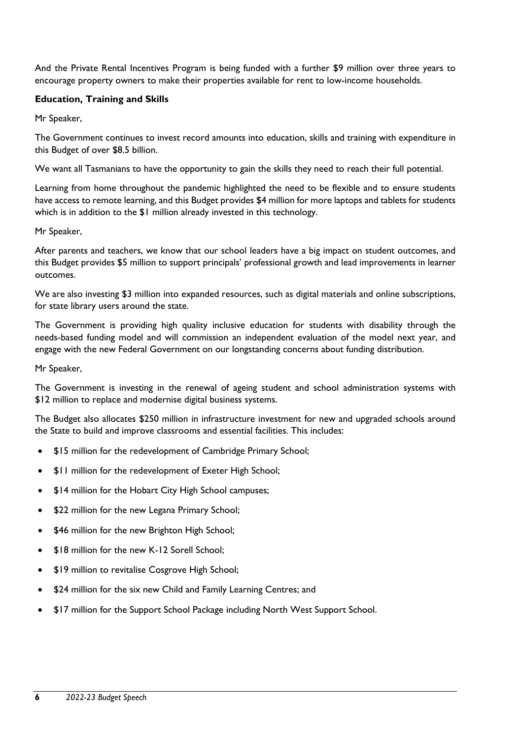And the Private Rental Incentives Program is being funded with a further \$9 million over three years to encourage property owners to make their properties available for rent to low-income households.

# **Education, Training and Skills**

Mr Speaker,

The Government continues to invest record amounts into education, skills and training with expenditure in this Budget of over \$8.5 billion.

We want all Tasmanians to have the opportunity to gain the skills they need to reach their full potential.

Learning from home throughout the pandemic highlighted the need to be flexible and to ensure students have access to remote learning, and this Budget provides \$4 million for more laptops and tablets for students which is in addition to the \$1 million already invested in this technology.

Mr Speaker,

After parents and teachers, we know that our school leaders have a big impact on student outcomes, and this Budget provides \$5 million to support principals' professional growth and lead improvements in learner outcomes.

We are also investing \$3 million into expanded resources, such as digital materials and online subscriptions, for state library users around the state.

The Government is providing high quality inclusive education for students with disability through the needs-based funding model and will commission an independent evaluation of the model next year, and engage with the new Federal Government on our longstanding concerns about funding distribution.

Mr Speaker,

The Government is investing in the renewal of ageing student and school administration systems with \$12 million to replace and modernise digital business systems.

The Budget also allocates \$250 million in infrastructure investment for new and upgraded schools around the State to build and improve classrooms and essential facilities. This includes:

- \$15 million for the redevelopment of Cambridge Primary School;
- \$11 million for the redevelopment of Exeter High School;
- \$14 million for the Hobart City High School campuses;
- \$22 million for the new Legana Primary School;
- \$46 million for the new Brighton High School;
- **\$18 million for the new K-12 Sorell School:**
- \$19 million to revitalise Cosgrove High School;
- \$24 million for the six new Child and Family Learning Centres; and
- \$17 million for the Support School Package including North West Support School.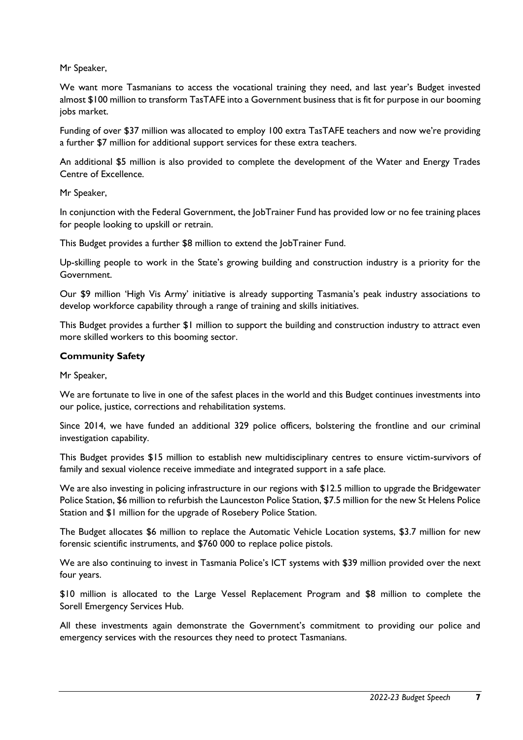Mr Speaker,

We want more Tasmanians to access the vocational training they need, and last year's Budget invested almost \$100 million to transform TasTAFE into a Government business that is fit for purpose in our booming jobs market.

Funding of over \$37 million was allocated to employ 100 extra TasTAFE teachers and now we're providing a further \$7 million for additional support services for these extra teachers.

An additional \$5 million is also provided to complete the development of the Water and Energy Trades Centre of Excellence.

Mr Speaker,

In conjunction with the Federal Government, the JobTrainer Fund has provided low or no fee training places for people looking to upskill or retrain.

This Budget provides a further \$8 million to extend the JobTrainer Fund.

Up-skilling people to work in the State's growing building and construction industry is a priority for the Government.

Our \$9 million 'High Vis Army' initiative is already supporting Tasmania's peak industry associations to develop workforce capability through a range of training and skills initiatives.

This Budget provides a further \$1 million to support the building and construction industry to attract even more skilled workers to this booming sector.

# **Community Safety**

Mr Speaker,

We are fortunate to live in one of the safest places in the world and this Budget continues investments into our police, justice, corrections and rehabilitation systems.

Since 2014, we have funded an additional 329 police officers, bolstering the frontline and our criminal investigation capability.

This Budget provides \$15 million to establish new multidisciplinary centres to ensure victim-survivors of family and sexual violence receive immediate and integrated support in a safe place.

We are also investing in policing infrastructure in our regions with \$12.5 million to upgrade the Bridgewater Police Station, \$6 million to refurbish the Launceston Police Station, \$7.5 million for the new St Helens Police Station and \$1 million for the upgrade of Rosebery Police Station.

The Budget allocates \$6 million to replace the Automatic Vehicle Location systems, \$3.7 million for new forensic scientific instruments, and \$760 000 to replace police pistols.

We are also continuing to invest in Tasmania Police's ICT systems with \$39 million provided over the next four years.

\$10 million is allocated to the Large Vessel Replacement Program and \$8 million to complete the Sorell Emergency Services Hub.

All these investments again demonstrate the Government's commitment to providing our police and emergency services with the resources they need to protect Tasmanians.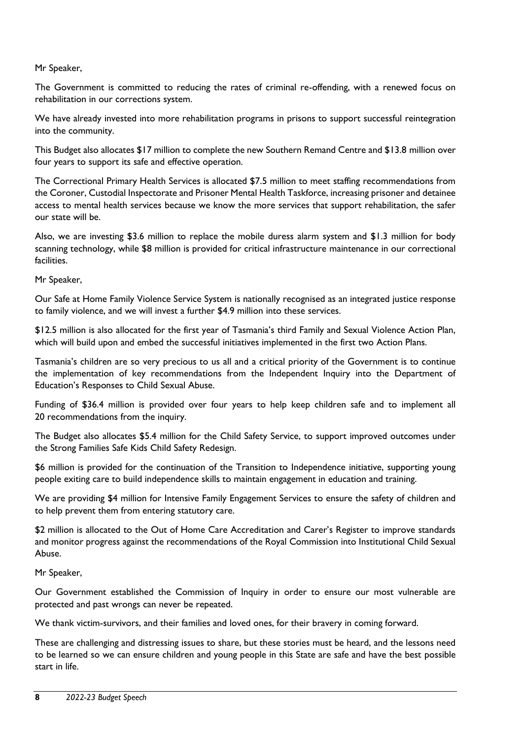#### Mr Speaker,

The Government is committed to reducing the rates of criminal re-offending, with a renewed focus on rehabilitation in our corrections system.

We have already invested into more rehabilitation programs in prisons to support successful reintegration into the community.

This Budget also allocates \$17 million to complete the new Southern Remand Centre and \$13.8 million over four years to support its safe and effective operation.

The Correctional Primary Health Services is allocated \$7.5 million to meet staffing recommendations from the Coroner, Custodial Inspectorate and Prisoner Mental Health Taskforce, increasing prisoner and detainee access to mental health services because we know the more services that support rehabilitation, the safer our state will be.

Also, we are investing \$3.6 million to replace the mobile duress alarm system and \$1.3 million for body scanning technology, while \$8 million is provided for critical infrastructure maintenance in our correctional facilities.

Mr Speaker,

Our Safe at Home Family Violence Service System is nationally recognised as an integrated justice response to family violence, and we will invest a further \$4.9 million into these services.

\$12.5 million is also allocated for the first year of Tasmania's third Family and Sexual Violence Action Plan, which will build upon and embed the successful initiatives implemented in the first two Action Plans.

Tasmania's children are so very precious to us all and a critical priority of the Government is to continue the implementation of key recommendations from the Independent Inquiry into the Department of Education's Responses to Child Sexual Abuse.

Funding of \$36.4 million is provided over four years to help keep children safe and to implement all 20 recommendations from the inquiry.

The Budget also allocates \$5.4 million for the Child Safety Service, to support improved outcomes under the Strong Families Safe Kids Child Safety Redesign.

\$6 million is provided for the continuation of the Transition to Independence initiative, supporting young people exiting care to build independence skills to maintain engagement in education and training.

We are providing \$4 million for Intensive Family Engagement Services to ensure the safety of children and to help prevent them from entering statutory care.

\$2 million is allocated to the Out of Home Care Accreditation and Carer's Register to improve standards and monitor progress against the recommendations of the Royal Commission into Institutional Child Sexual Abuse.

Mr Speaker,

Our Government established the Commission of Inquiry in order to ensure our most vulnerable are protected and past wrongs can never be repeated.

We thank victim-survivors, and their families and loved ones, for their bravery in coming forward.

These are challenging and distressing issues to share, but these stories must be heard, and the lessons need to be learned so we can ensure children and young people in this State are safe and have the best possible start in life.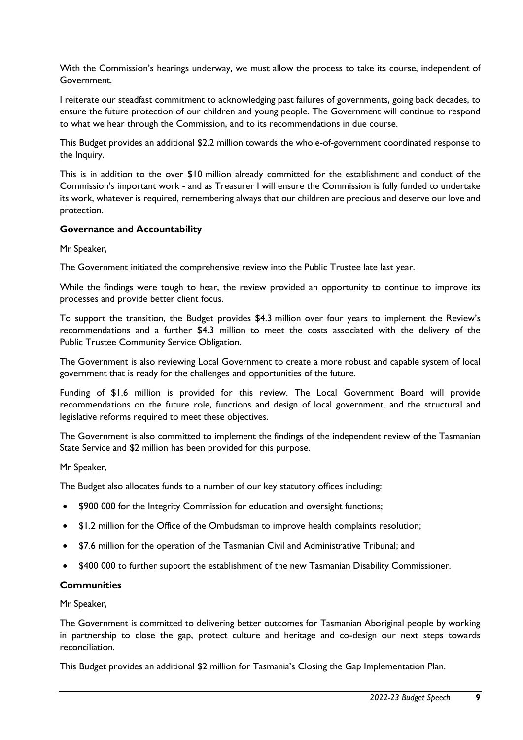With the Commission's hearings underway, we must allow the process to take its course, independent of Government.

I reiterate our steadfast commitment to acknowledging past failures of governments, going back decades, to ensure the future protection of our children and young people. The Government will continue to respond to what we hear through the Commission, and to its recommendations in due course.

This Budget provides an additional \$2.2 million towards the whole-of-government coordinated response to the Inquiry.

This is in addition to the over \$10 million already committed for the establishment and conduct of the Commission's important work - and as Treasurer I will ensure the Commission is fully funded to undertake its work, whatever is required, remembering always that our children are precious and deserve our love and protection.

#### **Governance and Accountability**

Mr Speaker,

The Government initiated the comprehensive review into the Public Trustee late last year.

While the findings were tough to hear, the review provided an opportunity to continue to improve its processes and provide better client focus.

To support the transition, the Budget provides \$4.3 million over four years to implement the Review's recommendations and a further \$4.3 million to meet the costs associated with the delivery of the Public Trustee Community Service Obligation.

The Government is also reviewing Local Government to create a more robust and capable system of local government that is ready for the challenges and opportunities of the future.

Funding of \$1.6 million is provided for this review. The Local Government Board will provide recommendations on the future role, functions and design of local government, and the structural and legislative reforms required to meet these objectives.

The Government is also committed to implement the findings of the independent review of the Tasmanian State Service and \$2 million has been provided for this purpose.

Mr Speaker,

The Budget also allocates funds to a number of our key statutory offices including:

- \$900 000 for the Integrity Commission for education and oversight functions;
- \$1.2 million for the Office of the Ombudsman to improve health complaints resolution;
- \$7.6 million for the operation of the Tasmanian Civil and Administrative Tribunal; and
- \$400 000 to further support the establishment of the new Tasmanian Disability Commissioner.

#### **Communities**

Mr Speaker,

The Government is committed to delivering better outcomes for Tasmanian Aboriginal people by working in partnership to close the gap, protect culture and heritage and co-design our next steps towards reconciliation.

This Budget provides an additional \$2 million for Tasmania's Closing the Gap Implementation Plan.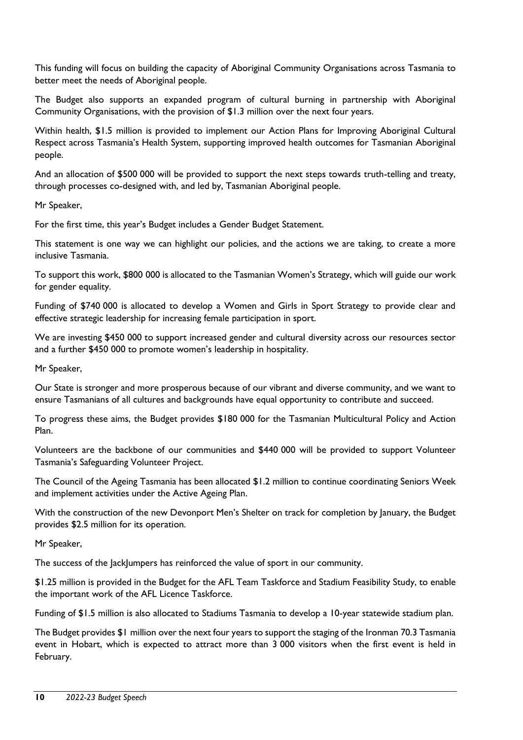This funding will focus on building the capacity of Aboriginal Community Organisations across Tasmania to better meet the needs of Aboriginal people.

The Budget also supports an expanded program of cultural burning in partnership with Aboriginal Community Organisations, with the provision of \$1.3 million over the next four years.

Within health, \$1.5 million is provided to implement our Action Plans for Improving Aboriginal Cultural Respect across Tasmania's Health System, supporting improved health outcomes for Tasmanian Aboriginal people.

And an allocation of \$500 000 will be provided to support the next steps towards truth-telling and treaty, through processes co-designed with, and led by, Tasmanian Aboriginal people.

Mr Speaker,

For the first time, this year's Budget includes a Gender Budget Statement.

This statement is one way we can highlight our policies, and the actions we are taking, to create a more inclusive Tasmania.

To support this work, \$800 000 is allocated to the Tasmanian Women's Strategy, which will guide our work for gender equality.

Funding of \$740 000 is allocated to develop a Women and Girls in Sport Strategy to provide clear and effective strategic leadership for increasing female participation in sport.

We are investing \$450 000 to support increased gender and cultural diversity across our resources sector and a further \$450 000 to promote women's leadership in hospitality.

Mr Speaker,

Our State is stronger and more prosperous because of our vibrant and diverse community, and we want to ensure Tasmanians of all cultures and backgrounds have equal opportunity to contribute and succeed.

To progress these aims, the Budget provides \$180 000 for the Tasmanian Multicultural Policy and Action Plan.

Volunteers are the backbone of our communities and \$440 000 will be provided to support Volunteer Tasmania's Safeguarding Volunteer Project.

The Council of the Ageing Tasmania has been allocated \$1.2 million to continue coordinating Seniors Week and implement activities under the Active Ageing Plan.

With the construction of the new Devonport Men's Shelter on track for completion by January, the Budget provides \$2.5 million for its operation.

Mr Speaker,

The success of the JackJumpers has reinforced the value of sport in our community.

\$1.25 million is provided in the Budget for the AFL Team Taskforce and Stadium Feasibility Study, to enable the important work of the AFL Licence Taskforce.

Funding of \$1.5 million is also allocated to Stadiums Tasmania to develop a 10-year statewide stadium plan.

The Budget provides \$1 million over the next four years to support the staging of the Ironman 70.3 Tasmania event in Hobart, which is expected to attract more than 3 000 visitors when the first event is held in February.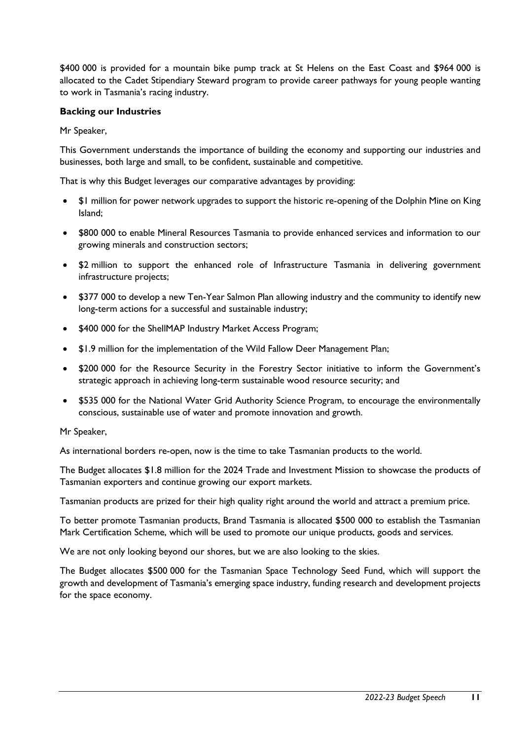\$400 000 is provided for a mountain bike pump track at St Helens on the East Coast and \$964 000 is allocated to the Cadet Stipendiary Steward program to provide career pathways for young people wanting to work in Tasmania's racing industry.

#### **Backing our Industries**

Mr Speaker,

This Government understands the importance of building the economy and supporting our industries and businesses, both large and small, to be confident, sustainable and competitive.

That is why this Budget leverages our comparative advantages by providing:

- \$1 million for power network upgrades to support the historic re-opening of the Dolphin Mine on King Island;
- \$800 000 to enable Mineral Resources Tasmania to provide enhanced services and information to our growing minerals and construction sectors;
- \$2 million to support the enhanced role of Infrastructure Tasmania in delivering government infrastructure projects;
- \$377 000 to develop a new Ten-Year Salmon Plan allowing industry and the community to identify new long-term actions for a successful and sustainable industry;
- \$400 000 for the ShellMAP Industry Market Access Program;
- \$1.9 million for the implementation of the Wild Fallow Deer Management Plan;
- \$200 000 for the Resource Security in the Forestry Sector initiative to inform the Government's strategic approach in achieving long-term sustainable wood resource security; and
- \$535 000 for the National Water Grid Authority Science Program, to encourage the environmentally conscious, sustainable use of water and promote innovation and growth.

#### Mr Speaker,

As international borders re-open, now is the time to take Tasmanian products to the world.

The Budget allocates \$1.8 million for the 2024 Trade and Investment Mission to showcase the products of Tasmanian exporters and continue growing our export markets.

Tasmanian products are prized for their high quality right around the world and attract a premium price.

To better promote Tasmanian products, Brand Tasmania is allocated \$500 000 to establish the Tasmanian Mark Certification Scheme, which will be used to promote our unique products, goods and services.

We are not only looking beyond our shores, but we are also looking to the skies.

The Budget allocates \$500 000 for the Tasmanian Space Technology Seed Fund, which will support the growth and development of Tasmania's emerging space industry, funding research and development projects for the space economy.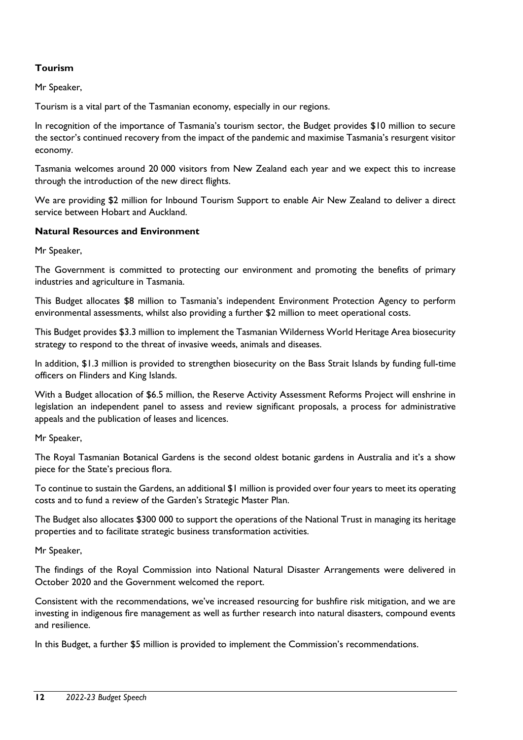# **Tourism**

Mr Speaker,

Tourism is a vital part of the Tasmanian economy, especially in our regions.

In recognition of the importance of Tasmania's tourism sector, the Budget provides \$10 million to secure the sector's continued recovery from the impact of the pandemic and maximise Tasmania's resurgent visitor economy.

Tasmania welcomes around 20 000 visitors from New Zealand each year and we expect this to increase through the introduction of the new direct flights.

We are providing \$2 million for Inbound Tourism Support to enable Air New Zealand to deliver a direct service between Hobart and Auckland.

#### **Natural Resources and Environment**

Mr Speaker,

The Government is committed to protecting our environment and promoting the benefits of primary industries and agriculture in Tasmania.

This Budget allocates \$8 million to Tasmania's independent Environment Protection Agency to perform environmental assessments, whilst also providing a further \$2 million to meet operational costs.

This Budget provides \$3.3 million to implement the Tasmanian Wilderness World Heritage Area biosecurity strategy to respond to the threat of invasive weeds, animals and diseases.

In addition, \$1.3 million is provided to strengthen biosecurity on the Bass Strait Islands by funding full-time officers on Flinders and King Islands.

With a Budget allocation of \$6.5 million, the Reserve Activity Assessment Reforms Project will enshrine in legislation an independent panel to assess and review significant proposals, a process for administrative appeals and the publication of leases and licences.

Mr Speaker,

The Royal Tasmanian Botanical Gardens is the second oldest botanic gardens in Australia and it's a show piece for the State's precious flora.

To continue to sustain the Gardens, an additional \$1 million is provided over four years to meet its operating costs and to fund a review of the Garden's Strategic Master Plan.

The Budget also allocates \$300 000 to support the operations of the National Trust in managing its heritage properties and to facilitate strategic business transformation activities.

Mr Speaker,

The findings of the Royal Commission into National Natural Disaster Arrangements were delivered in October 2020 and the Government welcomed the report.

Consistent with the recommendations, we've increased resourcing for bushfire risk mitigation, and we are investing in indigenous fire management as well as further research into natural disasters, compound events and resilience.

In this Budget, a further \$5 million is provided to implement the Commission's recommendations.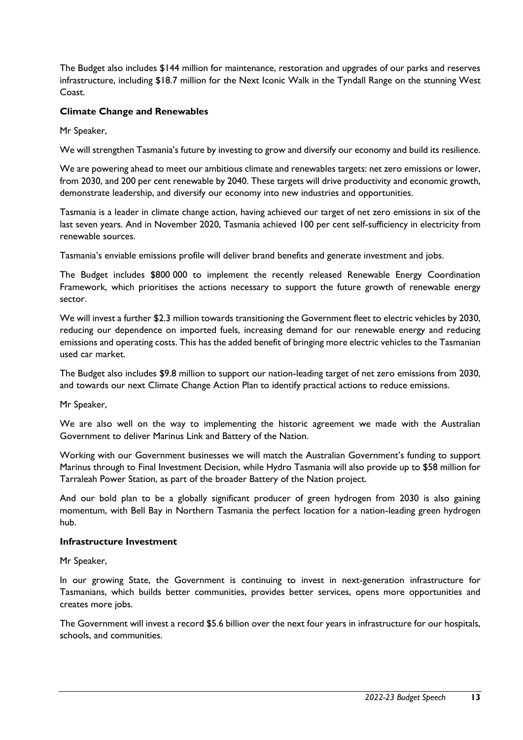The Budget also includes \$144 million for maintenance, restoration and upgrades of our parks and reserves infrastructure, including \$18.7 million for the Next Iconic Walk in the Tyndall Range on the stunning West Coast.

# **Climate Change and Renewables**

Mr Speaker,

We will strengthen Tasmania's future by investing to grow and diversify our economy and build its resilience.

We are powering ahead to meet our ambitious climate and renewables targets: net zero emissions or lower, from 2030, and 200 per cent renewable by 2040. These targets will drive productivity and economic growth, demonstrate leadership, and diversify our economy into new industries and opportunities.

Tasmania is a leader in climate change action, having achieved our target of net zero emissions in six of the last seven years. And in November 2020, Tasmania achieved 100 per cent self-sufficiency in electricity from renewable sources.

Tasmania's enviable emissions profile will deliver brand benefits and generate investment and jobs.

The Budget includes \$800 000 to implement the recently released Renewable Energy Coordination Framework, which prioritises the actions necessary to support the future growth of renewable energy sector.

We will invest a further \$2.3 million towards transitioning the Government fleet to electric vehicles by 2030, reducing our dependence on imported fuels, increasing demand for our renewable energy and reducing emissions and operating costs. This has the added benefit of bringing more electric vehicles to the Tasmanian used car market.

The Budget also includes \$9.8 million to support our nation-leading target of net zero emissions from 2030, and towards our next Climate Change Action Plan to identify practical actions to reduce emissions.

Mr Speaker,

We are also well on the way to implementing the historic agreement we made with the Australian Government to deliver Marinus Link and Battery of the Nation.

Working with our Government businesses we will match the Australian Government's funding to support Marinus through to Final Investment Decision, while Hydro Tasmania will also provide up to \$58 million for Tarraleah Power Station, as part of the broader Battery of the Nation project.

And our bold plan to be a globally significant producer of green hydrogen from 2030 is also gaining momentum, with Bell Bay in Northern Tasmania the perfect location for a nation-leading green hydrogen hub.

#### **Infrastructure Investment**

Mr Speaker,

In our growing State, the Government is continuing to invest in next-generation infrastructure for Tasmanians, which builds better communities, provides better services, opens more opportunities and creates more jobs.

The Government will invest a record \$5.6 billion over the next four years in infrastructure for our hospitals, schools, and communities.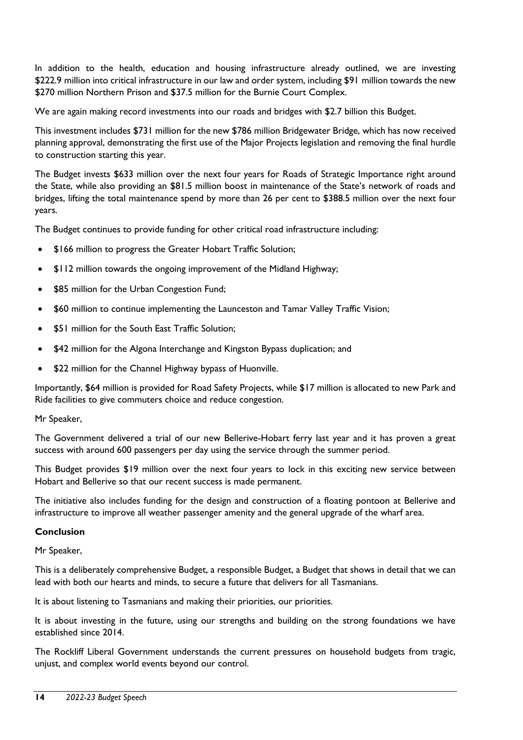In addition to the health, education and housing infrastructure already outlined, we are investing \$222.9 million into critical infrastructure in our law and order system, including \$91 million towards the new \$270 million Northern Prison and \$37.5 million for the Burnie Court Complex.

We are again making record investments into our roads and bridges with \$2.7 billion this Budget.

This investment includes \$731 million for the new \$786 million Bridgewater Bridge, which has now received planning approval, demonstrating the first use of the Major Projects legislation and removing the final hurdle to construction starting this year.

The Budget invests \$633 million over the next four years for Roads of Strategic Importance right around the State, while also providing an \$81.5 million boost in maintenance of the State's network of roads and bridges, lifting the total maintenance spend by more than 26 per cent to \$388.5 million over the next four years.

The Budget continues to provide funding for other critical road infrastructure including:

- \$166 million to progress the Greater Hobart Traffic Solution;
- \$112 million towards the ongoing improvement of the Midland Highway;
- \$85 million for the Urban Congestion Fund;
- \$60 million to continue implementing the Launceston and Tamar Valley Traffic Vision;
- \$51 million for the South East Traffic Solution;
- \$42 million for the Algona Interchange and Kingston Bypass duplication; and
- \$22 million for the Channel Highway bypass of Huonville.

Importantly, \$64 million is provided for Road Safety Projects, while \$17 million is allocated to new Park and Ride facilities to give commuters choice and reduce congestion.

Mr Speaker,

The Government delivered a trial of our new Bellerive-Hobart ferry last year and it has proven a great success with around 600 passengers per day using the service through the summer period.

This Budget provides \$19 million over the next four years to lock in this exciting new service between Hobart and Bellerive so that our recent success is made permanent.

The initiative also includes funding for the design and construction of a floating pontoon at Bellerive and infrastructure to improve all weather passenger amenity and the general upgrade of the wharf area.

#### **Conclusion**

Mr Speaker,

This is a deliberately comprehensive Budget, a responsible Budget, a Budget that shows in detail that we can lead with both our hearts and minds, to secure a future that delivers for all Tasmanians.

It is about listening to Tasmanians and making their priorities, our priorities.

It is about investing in the future, using our strengths and building on the strong foundations we have established since 2014.

The Rockliff Liberal Government understands the current pressures on household budgets from tragic, unjust, and complex world events beyond our control.